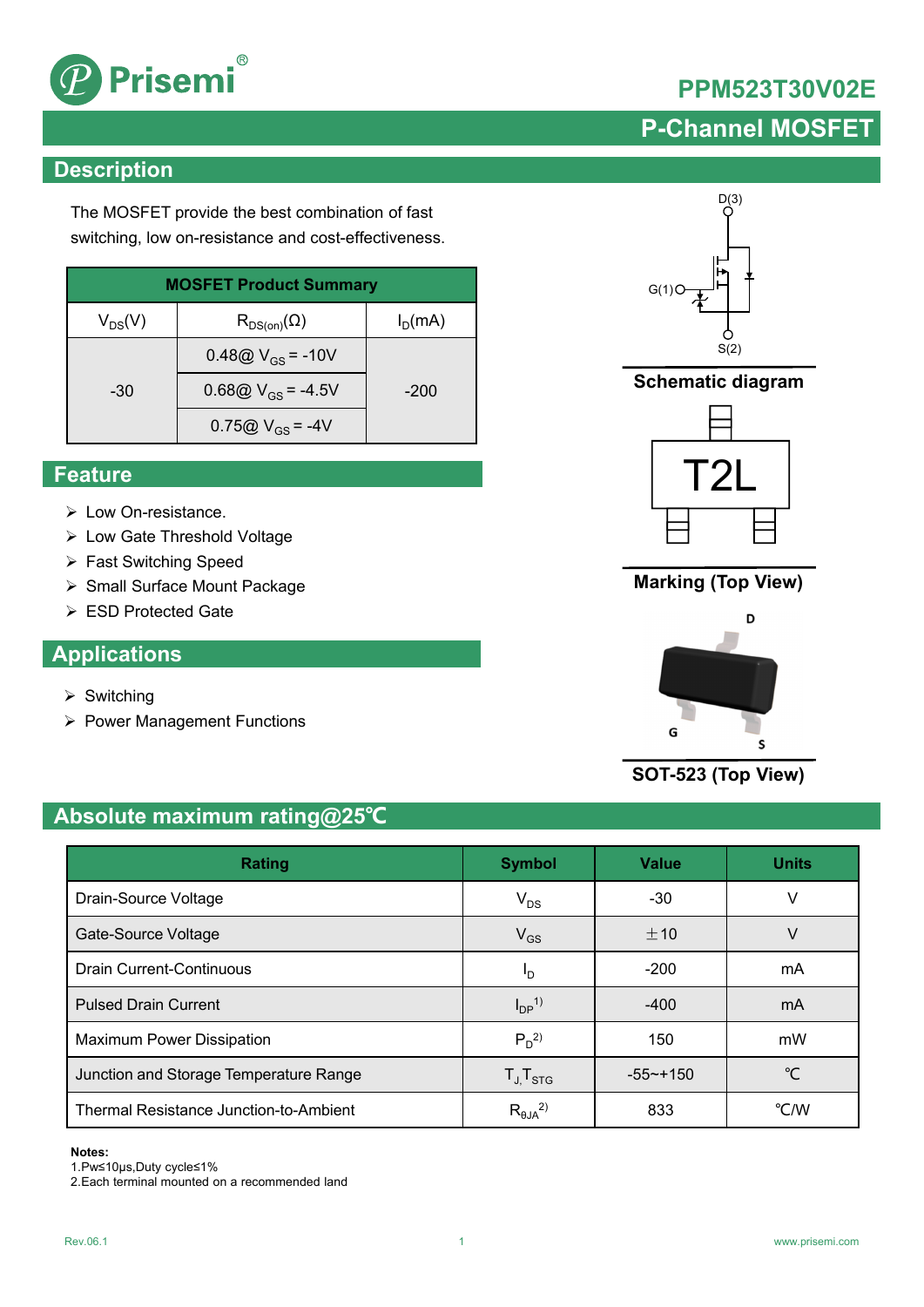

# **PPM523T30V02E**

# **P-Channel MOSFET**

# **Description**

The MOSFET provide the best combination of fast switching, low on-resistance and cost-effectiveness.

| <b>MOSFET Product Summary</b> |                                        |           |  |  |
|-------------------------------|----------------------------------------|-----------|--|--|
| $V_{DS}(V)$                   | $\mathsf{R}_{\mathsf{DS}(on)}(\Omega)$ | $I_D(mA)$ |  |  |
|                               | 0.48@ $V_{GS}$ = -10V                  |           |  |  |
| -30                           | 0.68@ $V_{GS}$ = -4.5V                 | $-200$    |  |  |
|                               | 0.75@ $V_{GS}$ = -4V                   |           |  |  |

### **Feature**

- Low On-resistance.
- Low Gate Threshold Voltage
- Fast Switching Speed
- ▶ Small Surface Mount Package
- ESD Protected Gate

### **Applications**

- $\triangleright$  Switching
- ▶ Power Management Functions

# $D(3)$  $G(1)C$  $S(2)$

**Schematic diagram**



## **Marking (Top View)**



**SOT-523 (Top View)**

# **Absolute maximum rating@25℃**

| <b>Rating</b>                          | <b>Symbol</b>          | <b>Value</b> | <b>Units</b>  |
|----------------------------------------|------------------------|--------------|---------------|
| Drain-Source Voltage                   | $V_{DS}$               | $-30$        | V             |
| Gate-Source Voltage                    | $V_{GS}$               | $+10$        | V             |
| <b>Drain Current-Continuous</b>        | Ιŋ                     | $-200$       | mA            |
| <b>Pulsed Drain Current</b>            | $I_{DP}$ <sup>1)</sup> | $-400$       | mA            |
| <b>Maximum Power Dissipation</b>       | $P_D^2$                | 150          | mW            |
| Junction and Storage Temperature Range | $T_{J}T_{STG}$         | $-55 - +150$ | °C            |
| Thermal Resistance Junction-to-Ambient | $R_{\theta JA}^{2)}$   | 833          | $\degree$ C/W |

### **Notes:**

1.Pw≤10μs,Duty cycle≤1%

2.Each terminal mounted on a recommended land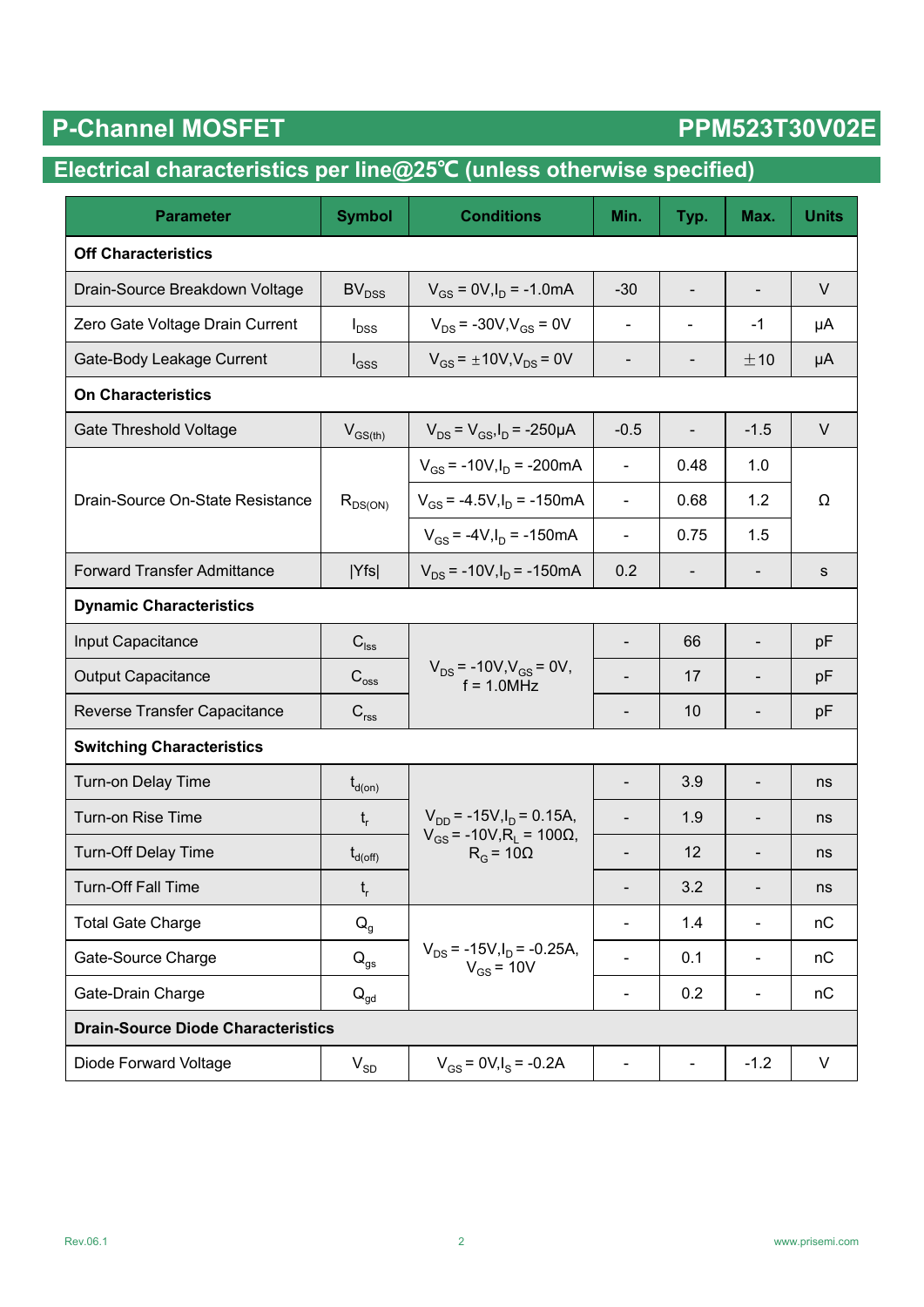# P-Channel MOSFET PPM523T30V02E

# **Electrical characteristics per line@25℃ (unless otherwise specified)**

| <b>Parameter</b>                          | <b>Symbol</b>                                          | <b>Conditions</b>                                              | Min.                     | Typ.                     | Max.                         | <b>Units</b> |  |
|-------------------------------------------|--------------------------------------------------------|----------------------------------------------------------------|--------------------------|--------------------------|------------------------------|--------------|--|
| <b>Off Characteristics</b>                |                                                        |                                                                |                          |                          |                              |              |  |
| Drain-Source Breakdown Voltage            | $V_{GS}$ = 0V, $I_D$ = -1.0mA<br>BV <sub>DSS</sub>     |                                                                | $-30$                    | $\overline{\phantom{a}}$ | $\overline{\phantom{m}}$     | $\vee$       |  |
| Zero Gate Voltage Drain Current           | $V_{DS}$ = -30V, $V_{GS}$ = 0V<br>$I_{DSS}$            |                                                                | $\blacksquare$           | $\overline{\phantom{a}}$ | $-1$                         | μA           |  |
| Gate-Body Leakage Current                 | $V_{GS}$ = $\pm$ 10V,V <sub>DS</sub> = 0V<br>$I_{GSS}$ |                                                                |                          |                          | ±10                          | μA           |  |
| <b>On Characteristics</b>                 |                                                        |                                                                |                          |                          |                              |              |  |
| <b>Gate Threshold Voltage</b>             | $V_{GS(th)}$                                           | $V_{DS} = V_{GS}I_D = -250 \mu A$                              | $-0.5$                   |                          | $-1.5$                       | $\vee$       |  |
|                                           |                                                        | $V_{GS}$ = -10V, $I_D$ = -200mA                                | $\blacksquare$           | 0.48                     | 1.0                          |              |  |
| Drain-Source On-State Resistance          | $R_{DS(ON)}$                                           | $V_{GS}$ = -4.5V, $I_D$ = -150mA                               | $\blacksquare$           | 0.68                     | 1.2                          | Ω            |  |
|                                           |                                                        | $V_{GS}$ = -4V, $I_D$ = -150mA                                 | $\blacksquare$           | 0.75                     | 1.5                          |              |  |
| <b>Forward Transfer Admittance</b>        | Yfs                                                    | $V_{DS}$ = -10V, $I_D$ = -150mA                                | 0.2                      |                          |                              | s            |  |
| <b>Dynamic Characteristics</b>            |                                                        |                                                                |                          |                          |                              |              |  |
| Input Capacitance                         | $\mathbf{C}_{\mathsf{lss}}$                            |                                                                | $\overline{\phantom{a}}$ | 66                       | $\qquad \qquad \blacksquare$ | pF           |  |
| <b>Output Capacitance</b>                 | $C_{\rm oss}$                                          | $V_{DS}$ = -10V, $V_{GS}$ = 0V,<br>$f = 1.0 MHz$               |                          | 17                       |                              | pF           |  |
| Reverse Transfer Capacitance              | $\mathbf{C}_{\text{rss}}$                              |                                                                |                          | 10                       |                              | pF           |  |
| <b>Switching Characteristics</b>          |                                                        |                                                                |                          |                          |                              |              |  |
| Turn-on Delay Time                        | $t_{d(on)}$                                            |                                                                | $\blacksquare$           | 3.9                      | $\qquad \qquad \blacksquare$ | ns           |  |
| Turn-on Rise Time                         | $t_{r}$                                                | $V_{DD}$ = -15V, $I_D$ = 0.15A,                                |                          | 1.9                      |                              | ns           |  |
| <b>Turn-Off Delay Time</b>                | $t_{d(\text{off})}$                                    | $V_{GS}$ = -10V, R <sub>L</sub> = 100Ω,<br>$R_G$ = 10 $\Omega$ |                          | 12                       |                              | ns           |  |
| Turn-Off Fall Time                        | $\mathfrak{t}_{\sf r}$                                 |                                                                |                          | 3.2                      |                              | ns           |  |
| <b>Total Gate Charge</b>                  | $Q_g$                                                  |                                                                |                          | 1.4                      | -                            | nC           |  |
| Gate-Source Charge                        | $Q_{gs}$                                               | $V_{DS}$ = -15V, $I_D$ = -0.25A,<br>$V_{GS}$ = 10V             |                          | 0.1                      | $\qquad \qquad \blacksquare$ | nC           |  |
| Gate-Drain Charge                         | $\mathsf{Q}_{\mathsf{gd}}$                             |                                                                |                          | 0.2                      | $\qquad \qquad \blacksquare$ | nC           |  |
| <b>Drain-Source Diode Characteristics</b> |                                                        |                                                                |                          |                          |                              |              |  |
| Diode Forward Voltage                     | $V_{SD}$                                               | $V_{GS}$ = 0V, $I_S$ = -0.2A                                   | $\blacksquare$           | $\blacksquare$           | $-1.2$                       | V            |  |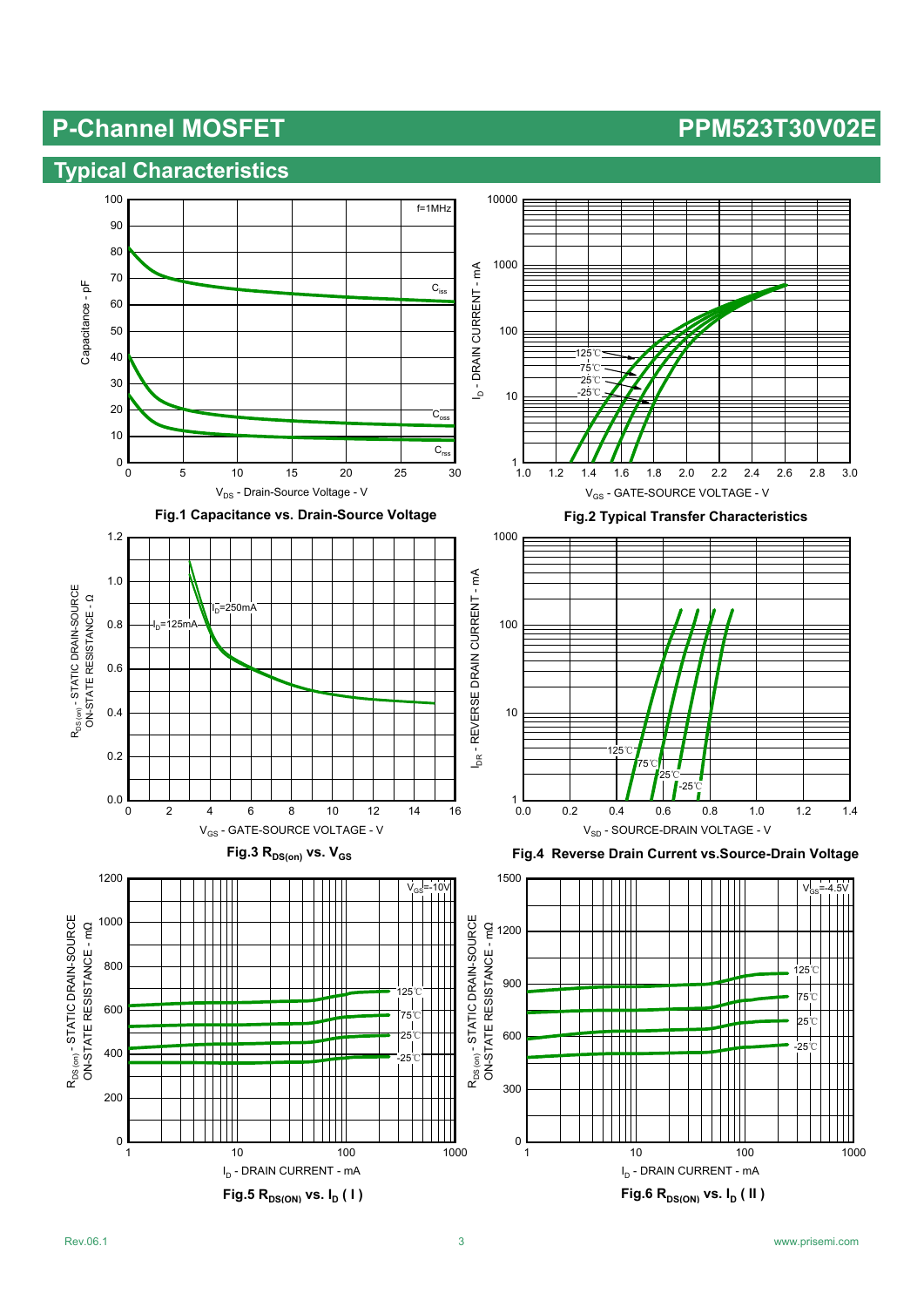### **Typical Characteristics**

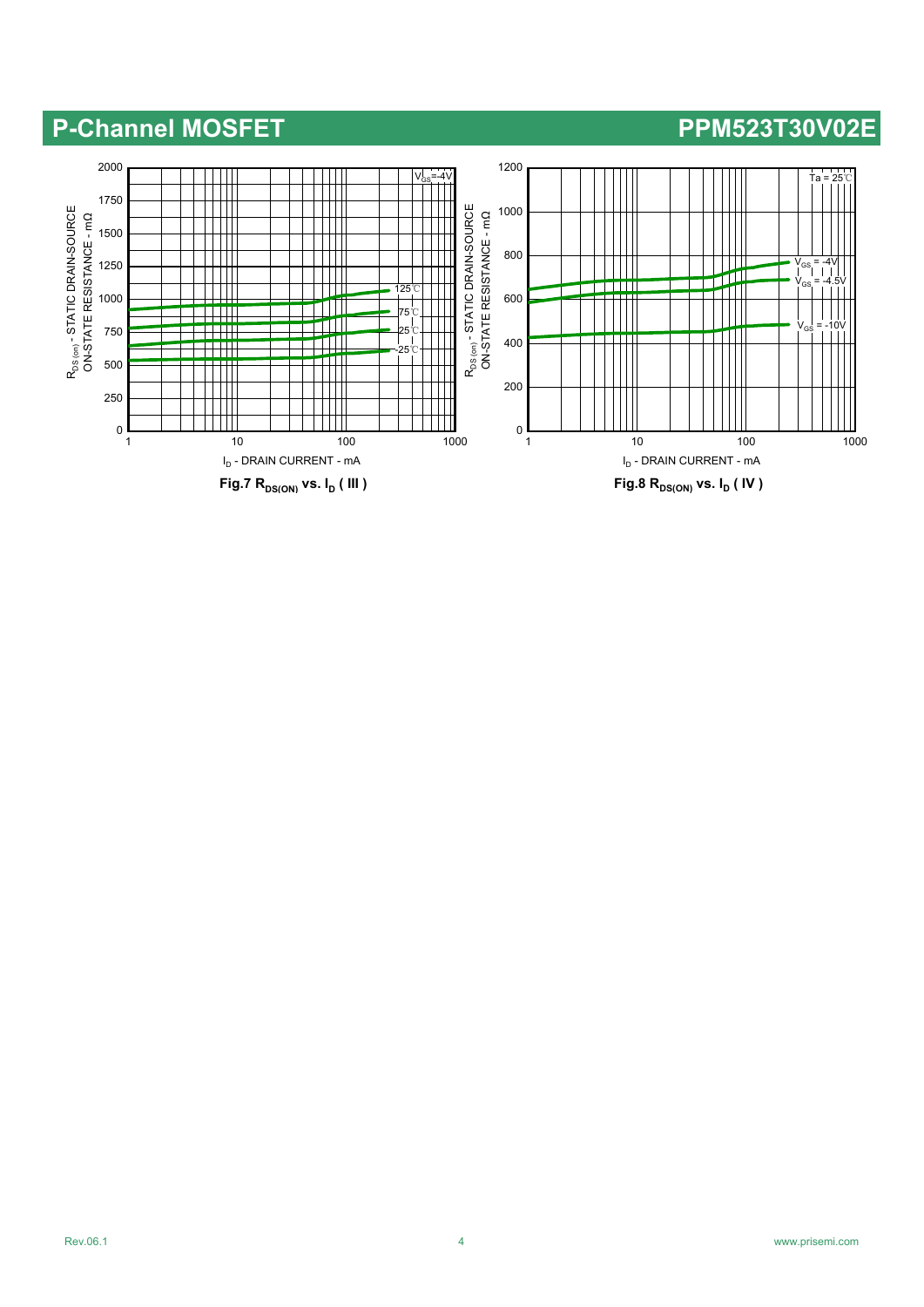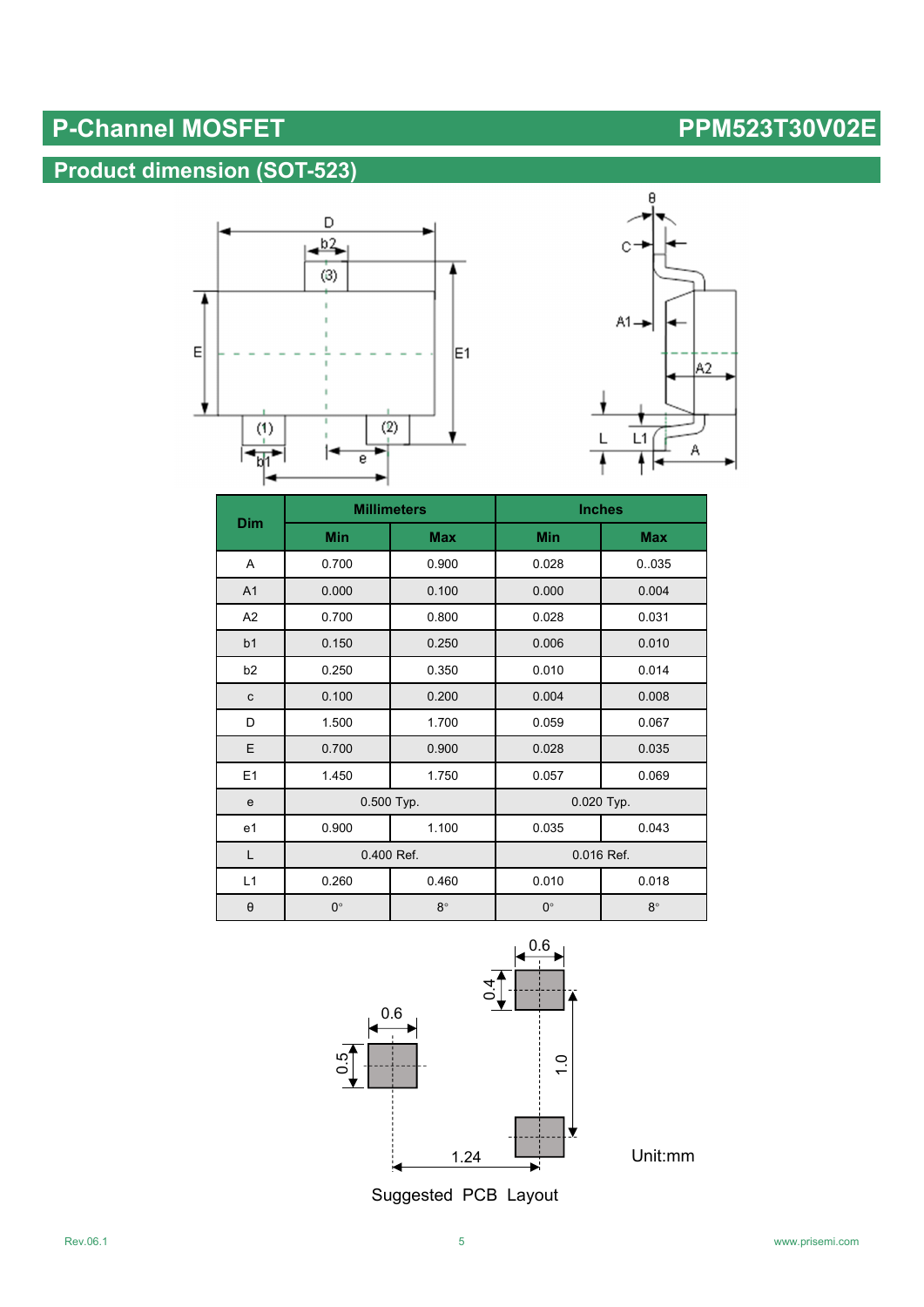# **Product dimension (SOT-523)**





|                |             | <b>Millimeters</b> | <b>Inches</b> |            |  |
|----------------|-------------|--------------------|---------------|------------|--|
| Dim            | <b>Min</b>  | <b>Max</b>         | <b>Min</b>    | <b>Max</b> |  |
| A              | 0.700       | 0.900              | 0.028         | 0.035      |  |
| A <sub>1</sub> | 0.000       | 0.100              | 0.000         | 0.004      |  |
| A2             | 0.700       | 0.800              | 0.028         | 0.031      |  |
| b <sub>1</sub> | 0.150       | 0.250              | 0.006         | 0.010      |  |
| b <sub>2</sub> | 0.250       | 0.350              | 0.010         | 0.014      |  |
| ${\bf c}$      | 0.100       | 0.200              | 0.004         | 0.008      |  |
| D              | 1.500       | 1.700              | 0.059         | 0.067      |  |
| E              | 0.700       | 0.900              | 0.028         | 0.035      |  |
| E1             | 1.450       | 1.750              | 0.057         | 0.069      |  |
| e              | 0.500 Typ.  |                    | 0.020 Typ.    |            |  |
| e1             | 0.900       | 1.100              | 0.035         | 0.043      |  |
| L              | 0.400 Ref.  |                    | 0.016 Ref.    |            |  |
| L1             | 0.260       | 0.460<br>0.010     |               | 0.018      |  |
| $\Theta$       | $0^{\circ}$ | $8^\circ$          | $0^{\circ}$   | $8^\circ$  |  |



Suggested PCB Layout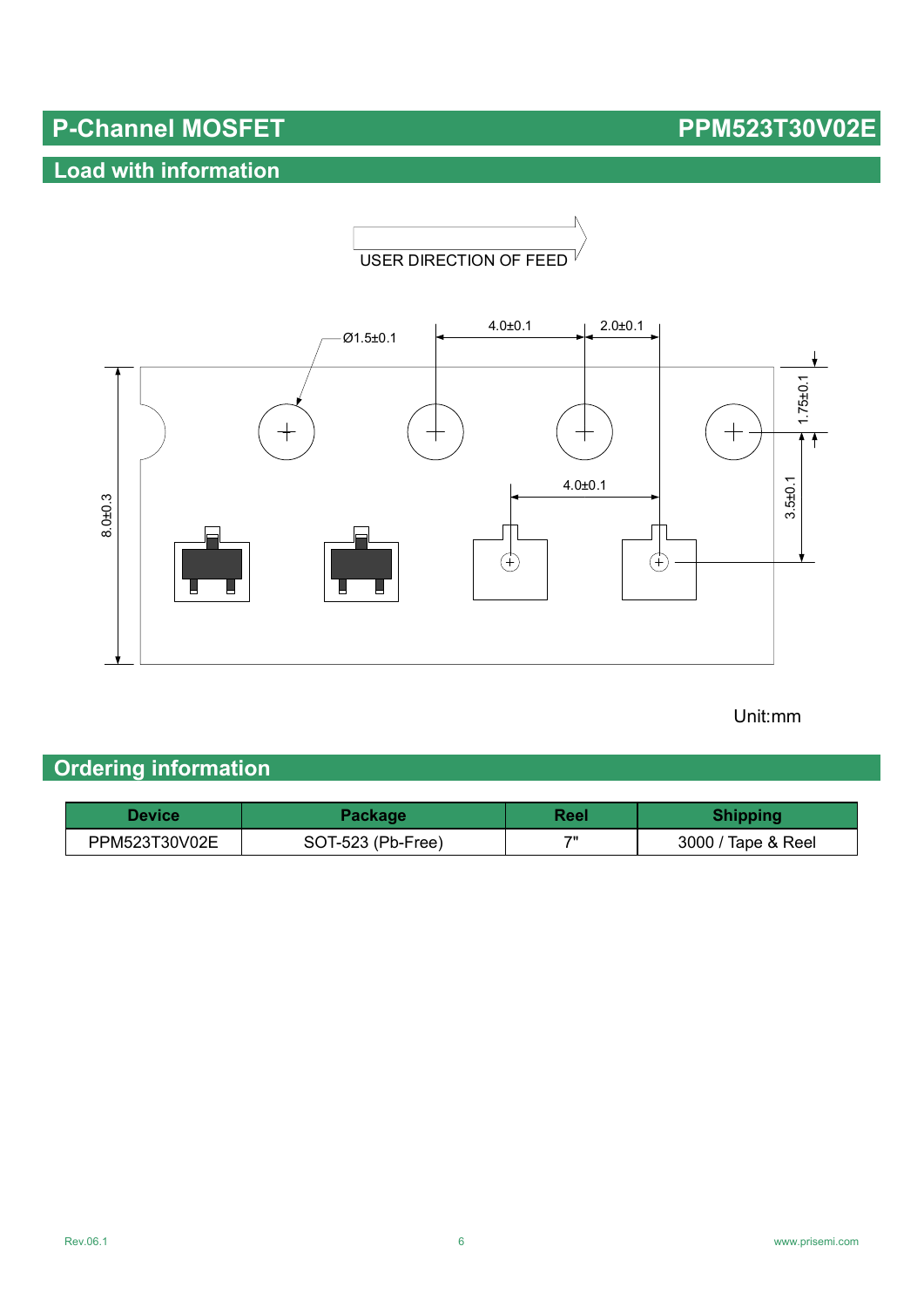# **Load with information**





### Unit:mm

# **Ordering information**

| Device        | Package           | Reel | <b>Shipping</b>    |
|---------------|-------------------|------|--------------------|
| PPM523T30V02E | SOT-523 (Pb-Free) | 711  | 3000 / Tape & Reel |